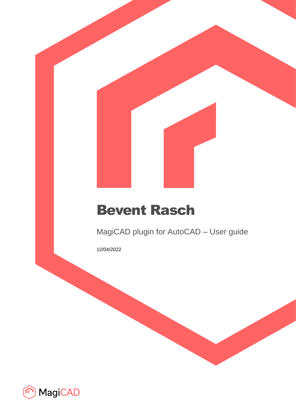# Bevent Rasch

MagiCAD plugin for AutoCAD – User guide

12/04/2022

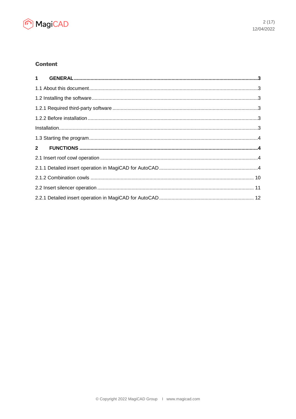

# **Content**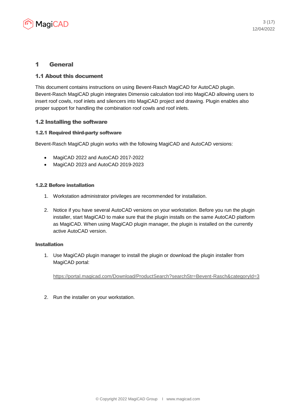

# 1 General

# 1.1 About this document

This document contains instructions on using Bevent-Rasch MagiCAD for AutoCAD plugin. Bevent-Rasch MagiCAD plugin integrates Dimensio calculation tool into MagiCAD allowing users to insert roof cowls, roof inlets and silencers into MagiCAD project and drawing. Plugin enables also proper support for handling the combination roof cowls and roof inlets.

# 1.2 Installing the software

# 1.2.1 Required third-party software

Bevent-Rasch MagiCAD plugin works with the following MagiCAD and AutoCAD versions:

- MagiCAD 2022 and AutoCAD 2017-2022
- MagiCAD 2023 and AutoCAD 2019-2023

#### 1.2.2 Before installation

- 1. Workstation administrator privileges are recommended for installation.
- 2. Notice if you have several AutoCAD versions on your workstation. Before you run the plugin installer, start MagiCAD to make sure that the plugin installs on the same AutoCAD platform as MagiCAD. When using MagiCAD plugin manager, the plugin is installed on the currently active AutoCAD version.

#### Installation

1. Use MagiCAD plugin manager to install the plugin or download the plugin installer from MagiCAD portal:

<https://portal.magicad.com/Download/ProductSearch?searchStr=Bevent-Rasch&categoryId=3>

2. Run the installer on your workstation.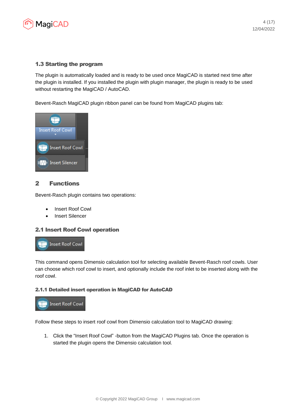

# 1.3 Starting the program

The plugin is automatically loaded and is ready to be used once MagiCAD is started next time after the plugin is installed. If you installed the plugin with plugin manager, the plugin is ready to be used without restarting the MagiCAD / AutoCAD.

Bevent-Rasch MagiCAD plugin ribbon panel can be found from MagiCAD plugins tab:



# 2 Functions

Bevent-Rasch plugin contains two operations:

- Insert Roof Cowl
- Insert Silencer

#### 2.1 Insert Roof Cowl operation



This command opens Dimensio calculation tool for selecting available Bevent-Rasch roof cowls. User can choose which roof cowl to insert, and optionally include the roof inlet to be inserted along with the roof cowl.

#### 2.1.1 Detailed insert operation in MagiCAD for AutoCAD



Follow these steps to insert roof cowl from Dimensio calculation tool to MagiCAD drawing:

1. Click the "Insert Roof Cowl" -button from the MagiCAD Plugins tab. Once the operation is started the plugin opens the Dimensio calculation tool.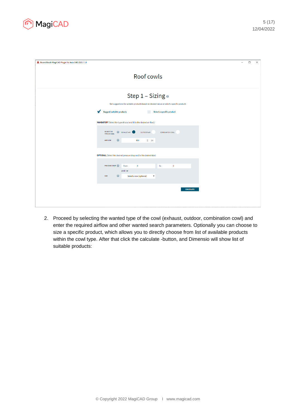

| A Bevent Rasch MagiCAD Plugin for AutoCAD 2020.1.1.0                                              | $\equiv$ | $\Box$ | $\times$ |
|---------------------------------------------------------------------------------------------------|----------|--------|----------|
| Roof cowls                                                                                        |          |        |          |
| Step 1 - Sizing o                                                                                 |          |        |          |
| Get suggestions for suitable products based on desired values or select a specific product.       |          |        |          |
| <b>Suggest suitable products</b><br>Select a specific product                                     |          |        |          |
| MANDATORY (Select the type of cowl and fill in the desired air flow):                             |          |        |          |
| <b>SELECT THE</b><br>EXHAUST AIR<br>OUTDOOR AIR<br><b>COMBINATION COWL</b><br><b>TYPE OF COWL</b> |          |        |          |
| $\boldsymbol{\Theta}$<br>$\hat{z} = 1/s$<br><b>AIR FLOW</b><br>500                                |          |        |          |
| OPTIONAL (Select the desired pressure drop and/or the desired size):                              |          |        |          |
| <b>PRESSURE DROP</b><br>from<br>to<br>$\bullet$<br>$\bullet$                                      |          |        |          |
| and / or                                                                                          |          |        |          |
| $\boldsymbol{\Theta}$<br>SIZE<br>Select a size (optional)<br>٠,                                   |          |        |          |
| <b>CALCULATE</b>                                                                                  |          |        |          |
|                                                                                                   |          |        |          |
|                                                                                                   |          |        |          |

2. Proceed by selecting the wanted type of the cowl (exhaust, outdoor, combination cowl) and enter the required airflow and other wanted search parameters. Optionally you can choose to size a specific product, which allows you to directly choose from list of available products within the cowl type. After that click the calculate -button, and Dimensio will show list of suitable products: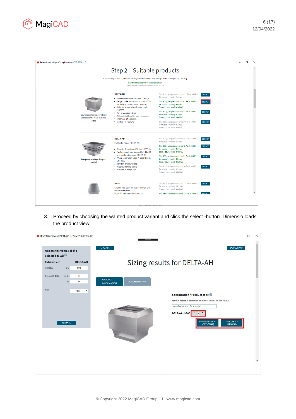

| A Bevent Rasch MagiCAD Plugin for AutoCAD 2020.1.1.0                                 |                                                             |                                                                                                                        |                                                                                                                                 |                                | $\Box$ | $\times$ |
|--------------------------------------------------------------------------------------|-------------------------------------------------------------|------------------------------------------------------------------------------------------------------------------------|---------------------------------------------------------------------------------------------------------------------------------|--------------------------------|--------|----------|
|                                                                                      |                                                             | Step 2 – Suitable products                                                                                             |                                                                                                                                 |                                |        |          |
|                                                                                      |                                                             | The following products meet the values you have chosen. Select the product to complete your sizing.                    |                                                                                                                                 |                                |        |          |
| Is within the recommended areas of use<br>Is not within the recommended areas of use |                                                             |                                                                                                                        |                                                                                                                                 |                                |        |          |
|                                                                                      |                                                             | <b>DELTA-AH</b><br>· Sizes for flows from 100 l/s to 15000 l/s<br>. Design similar to outdoor air cowl DELTA-          | Size 200 gives pressure drop 321 Pa at 500 l/s<br>Exhaust air velocity 7,4 m/s<br>Size 300 gives pressure drop 43 Pa at 500 l/s | <b>SELECT</b><br><b>SELECT</b> |        |          |
|                                                                                      |                                                             | UH and combination cowl DELTA-KH<br>• Water separation class A according to                                            | Exhaust air velocity 4,6 m/s<br>Sound power level: 47 dB(A)                                                                     |                                |        |          |
|                                                                                      | Low pressure drop, available<br>in stock in the most common | EN13030<br>• Very low pressure drop<br>. With adjustable outlet as an accessory<br>· Integrated lifting points         | Size 400 gives pressure drop 21 Pa at 500 l/s<br>Exhaust air velocity 3,2 m/s<br>Sound power level: 39 dB(A)                    | <b>SELECT</b>                  |        |          |
|                                                                                      | sizes                                                       | • Available in MagiCAD                                                                                                 | Size 500 gives pressure drop 10 Pa at 500 l/s<br>Exhaust air velocity 2,3 m/s<br>Sound power level: 34 dB(A)                    | <b>SELECT</b>                  |        |          |
|                                                                                      |                                                             | <b>DELTA-AD</b><br>Exhaust air cowl DELTA-AD                                                                           | Size 200 gives pressure drop 321 Pa at 500 l/s<br>Exhaust air velocity 7,4 m/s                                                  | <b>SELECT</b>                  |        |          |
|                                                                                      |                                                             | - Sizes for flows from 100 l/s to 8000 l/s<br>- Design as outdoor air cowl DELTA-UD                                    | Size 300 gives pressure drop 43 Pa at 500 l/s<br>Exhaust air velocity 4,6 m/s<br>Sound power level: 47 dB(A)                    | <b>SELECT</b>                  |        |          |
|                                                                                      | Low pressure drop, designer<br>model                        | and combination cowl DELTA-KD<br>• Water separation class A according to<br><b>EN13030</b><br>• Very low pressure drop | Size 400 gives pressure drop 21 Pa at 500 l/s<br>Exhaust air velocity 3,2 m/s<br>Sound power level: 39 dB(A)                    | <b>SELECT</b>                  |        |          |
|                                                                                      |                                                             | • Integrated lifting points<br>- Included in MagiCAD                                                                   | Size 500 gives pressure drop 10 Pa at 500 l/s<br>Exhaust air velocity 2,3 m/s<br>Sound power level: 34 dB(A)                    | <b>SELECT</b>                  |        |          |
|                                                                                      |                                                             | <b>BRDJ</b><br>Circular roof cowl for use in comfort and                                                               | Size 250 gives pressure drop 277 Pa at 500 l/s<br>Exhaust air velocity 10,2 m/s<br>Sound power level: 56 dB(A)                  | <b>SELECT</b>                  |        |          |
|                                                                                      |                                                             | industrial facilities.<br>Used for high-speed exhaust air.                                                             | Size 315 gives pressure drop 128 Pa at 500 l/s                                                                                  | SELECT.                        |        |          |
|                                                                                      |                                                             |                                                                                                                        |                                                                                                                                 |                                |        |          |
|                                                                                      |                                                             |                                                                                                                        |                                                                                                                                 |                                |        |          |

3. Proceed by choosing the wanted product variant and click the select -button. Dimensio loads the product view:

| A Bevent Rasch MagiCAD Plugin for AutoCAD 2019.12.1.0 |                        |                                      |                      | $\Box$                                                                                                                                                                                                                           |
|-------------------------------------------------------|------------------------|--------------------------------------|----------------------|----------------------------------------------------------------------------------------------------------------------------------------------------------------------------------------------------------------------------------|
| Update the values of the<br>selected cowl:            |                        | « BACK                               |                      | SAVE AS PDF                                                                                                                                                                                                                      |
| <b>Exhaust air</b><br>Air flow<br>1/s                 | <b>DELTA-AH</b><br>500 |                                      |                      | Sizing results for DELTA-AH                                                                                                                                                                                                      |
| Pressure drop<br>from<br>to                           | $\circ$<br>$\circ$     | <b>PRODUCT</b><br><b>INFORMATION</b> | <b>DOCUMENTATION</b> |                                                                                                                                                                                                                                  |
| Size<br><b>UPDATE</b>                                 | 300                    |                                      |                      | Specification / Product code @<br>Make a material selection and surface treatment below.<br>Own description for AMA-text<br>DELTA-AH-300<br>$1 - 0$<br><b>ADD ROOF INLET</b><br><b>IMPORT TO</b><br>(OPTIONAL)<br><b>MAGICAD</b> |
|                                                       |                        |                                      |                      |                                                                                                                                                                                                                                  |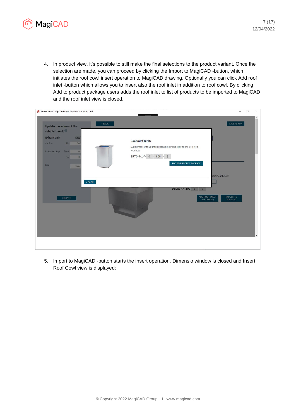

4. In product view, it's possible to still make the final selections to the product variant. Once the selection are made, you can proceed by clicking the Import to MagiCAD -button, which initiates the roof cowl insert operation to MagiCAD drawing. Optionally you can click Add roof inlet -button which allows you to insert also the roof inlet in addition to roof cowl. By clicking Add to product package users adds the roof inlet to list of products to be imported to MagiCAD and the roof inlet view is closed.

| A Bevent Rasch MagiCAD Plugin for AutoCAD 2019.12.1.0 |                                                                              | $\Box$ |
|-------------------------------------------------------|------------------------------------------------------------------------------|--------|
| Update the values of the<br>selected cowl:            | SAVE AS PDF<br>« BACK                                                        |        |
| <b>Exhaust air</b><br><b>DEL</b>                      |                                                                              |        |
| Air flow<br>V/s<br>500                                | <b>Roof inlet BRTG</b>                                                       |        |
| Pressure drop<br>from<br>$\circ$                      | Supplement with your selections below and click add to Selected<br>Products. |        |
| $\circ$<br>to                                         | <b>BRTG-4-1-*</b> $0 \cdot 800 - 3$                                          |        |
|                                                       | ADD TO PRODUCT PACKAGE                                                       |        |
| Size<br>300                                           |                                                                              |        |
|                                                       | reatment below.                                                              |        |
| $\kappa$ BACK                                         |                                                                              |        |
|                                                       |                                                                              |        |
|                                                       | DELTA-AH-300-1-0                                                             |        |
| <b>UPDATE</b>                                         | ADD ROOF INLET<br><b>IMPORT TO</b><br>(OPTIONAL)<br>MAGICAD                  |        |
|                                                       |                                                                              |        |
|                                                       |                                                                              |        |
|                                                       |                                                                              |        |
|                                                       |                                                                              |        |
|                                                       |                                                                              |        |
|                                                       |                                                                              |        |
|                                                       |                                                                              |        |
|                                                       |                                                                              |        |

5. Import to MagiCAD -button starts the insert operation. Dimensio window is closed and Insert Roof Cowl view is displayed: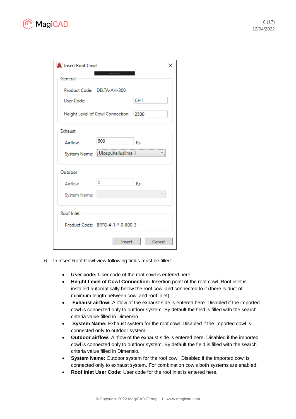

| <b>A</b> Insert Roof Cowl |                                  | x               |
|---------------------------|----------------------------------|-----------------|
| General                   |                                  |                 |
|                           | Product Code: DELTA-AH-300       |                 |
| <b>User Code:</b>         |                                  | CH <sub>1</sub> |
|                           | Height Level of Cowl Connection: | 2500            |
| Exhaust                   |                                  |                 |
| Airflow                   | 500                              | ľΝs             |
|                           | System Name: Ulospuhallusilma 1  |                 |
| Outdoor                   |                                  |                 |
| Airflow                   | 0                                | ľNs             |
| System Name:              |                                  |                 |
| Roof Inlet                |                                  |                 |
|                           | Product Code: BRTG-4-1-*-0-800-3 |                 |
|                           | Insert                           | Cancel          |

- 6. In insert Roof Cowl view following fields must be filled:
	- **User code:** User code of the roof cowl is entered here.
	- **Height Level of Cowl Connection:** Insertion point of the roof cowl. Roof inlet is installed automatically below the roof cowl and connected to it (there is duct of minimum length between cowl and roof inlet).
	- **Exhaust airflow:** Airflow of the exhaust side is entered here. Disabled if the imported cowl is connected only to outdoor system. By default the field is filled with the search criteria value filled in Dimensio.
	- **System Name:** Exhaust system for the roof cowl. Disabled if the imported cowl is connected only to outdoor system.
	- **Outdoor airflow:** Airflow of the exhaust side is entered here. Disabled if the imported cowl is connected only to outdoor system. By default the field is filled with the search criteria value filled in Dimensio.
	- **System Name:** Outdoor system for the roof cowl. Disabled if the imported cowl is connected only to exhaust system. For combination cowls both systems are enabled.
	- **Roof inlet User Code:** User code for the roof inlet is entered here.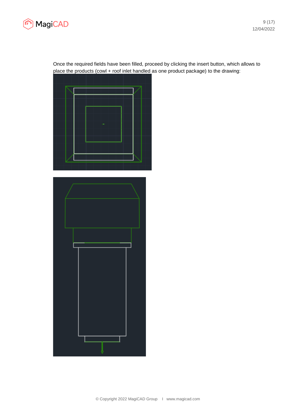

9 (17) 12/04/2022

Once the required fields have been filled, proceed by clicking the insert button, which allows to place the products (cowl + roof inlet handled as one product package) to the drawing:



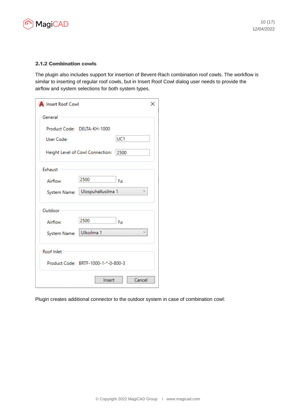

#### 2.1.2 Combination cowls

The plugin also includes support for insertion of Bevent-Rach combination roof cowls. The workflow is similar to inserting of regular roof cowls, but in Insert Roof Cowl dialog user needs to provide the airflow and system selections for both system types.

| <b>A</b> Insert Roof Cowl |                                     |                  | $\times$ |
|---------------------------|-------------------------------------|------------------|----------|
| General                   |                                     |                  |          |
|                           | Product Code: DELTA-KH-1000         |                  |          |
| User Code:                |                                     | UC1              |          |
|                           | Height Level of Cowl Connection:    | 2500             |          |
| Exhaust                   |                                     |                  |          |
| Airflow                   | 2500                                | ľNs              |          |
| System Name:              | Ulospuhallusilma 1                  | v                |          |
| Outdoor                   |                                     |                  |          |
| Airflow                   | 2500                                | ľ٨               |          |
| System Name:              | <br>Ulkoilma 1                      | ---------------- |          |
| Roof Inlet                |                                     |                  |          |
|                           | Product Code: BRTF-1000-1-*-0-800-3 |                  |          |
|                           | Insert                              | Cancel           |          |

Plugin creates additional connector to the outdoor system in case of combination cowl: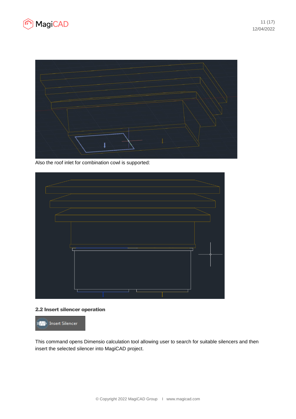



Also the roof inlet for combination cowl is supported:



# 2.2 Insert silencer operation



This command opens Dimensio calculation tool allowing user to search for suitable silencers and then insert the selected silencer into MagiCAD project.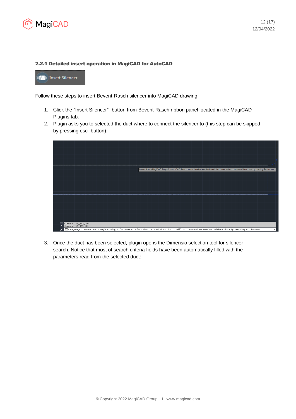

#### 2.2.1 Detailed insert operation in MagiCAD for AutoCAD

**MM**I Insert Silencer

Follow these steps to insert Bevent-Rasch silencer into MagiCAD drawing:

- 1. Click the "Insert Silencer" -button from Bevent-Rasch ribbon panel located in the MagiCAD Plugins tab.
- 2. Plugin asks you to selected the duct where to connect the silencer to (this step can be skipped by pressing esc -button):



3. Once the duct has been selected, plugin opens the Dimensio selection tool for silencer search. Notice that most of search criteria fields have been automatically filled with the parameters read from the selected duct: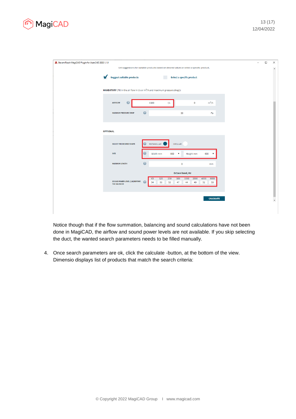

| A Bevent Rasch MagiCAD Plugin for AutoCAD 2020.1.1.0 |                                                                                          |                       |                                                                                                         | $-$ | $\Box$ | $\times$ |
|------------------------------------------------------|------------------------------------------------------------------------------------------|-----------------------|---------------------------------------------------------------------------------------------------------|-----|--------|----------|
|                                                      |                                                                                          |                       | Get suggestions for suitable products based on desired values or select a specific product.             |     |        | $\Delta$ |
|                                                      |                                                                                          |                       |                                                                                                         |     |        |          |
|                                                      | <b>Suggest suitable products</b>                                                         |                       | Select a specific product                                                                               |     |        |          |
|                                                      |                                                                                          |                       |                                                                                                         |     |        |          |
|                                                      | MANDATORY (Fill in the air flow in l/s or m <sup>3</sup> /h and maximum pressure drop):: |                       |                                                                                                         |     |        |          |
|                                                      |                                                                                          |                       |                                                                                                         |     |        |          |
|                                                      | $\boldsymbol{Q}$<br><b>AIR FLOW</b>                                                      |                       | $m^3/h$<br>1500<br>1/s<br>$\bullet$                                                                     |     |        |          |
|                                                      |                                                                                          |                       |                                                                                                         |     |        |          |
|                                                      | <b>MAXIMUM PRESSURE DROP</b>                                                             | $\boldsymbol{\Theta}$ | 30<br>Pa                                                                                                |     |        |          |
|                                                      |                                                                                          |                       |                                                                                                         |     |        |          |
|                                                      |                                                                                          |                       |                                                                                                         |     |        |          |
| <b>OPTIONAL</b>                                      |                                                                                          |                       |                                                                                                         |     |        |          |
|                                                      |                                                                                          |                       |                                                                                                         |     |        |          |
|                                                      | SELECT THE DESIRED SHAPE                                                                 | Q                     | RECTANGULAR<br>CIRCULAR                                                                                 |     |        |          |
|                                                      | <b>SIZE</b>                                                                              | $\bullet$             | Width mm<br>Height mm<br>600<br>$\blacktriangledown$<br>600<br>v                                        |     |        |          |
|                                                      |                                                                                          |                       |                                                                                                         |     |        |          |
|                                                      | <b>MAXIMUM LENGTH</b>                                                                    | $\boldsymbol{\Theta}$ | $\pmb{0}$<br>mm                                                                                         |     |        |          |
|                                                      |                                                                                          |                       |                                                                                                         |     |        |          |
|                                                      |                                                                                          |                       | Octave band, Hz                                                                                         |     |        |          |
|                                                      | SOUND POWER LEVEL (LW) BEFORE<br>THE SILENCER                                            | $\Omega$              | 125<br>250<br>500<br>1000<br>2000<br>4000<br>8000<br>63<br>54<br>53<br>52<br>47<br>44<br>52<br>53<br>49 |     |        |          |
|                                                      |                                                                                          |                       |                                                                                                         |     |        |          |
|                                                      |                                                                                          |                       |                                                                                                         |     |        |          |
|                                                      |                                                                                          |                       | <b>CALCULATE</b>                                                                                        |     |        |          |
|                                                      |                                                                                          |                       |                                                                                                         |     |        |          |
|                                                      |                                                                                          |                       |                                                                                                         |     |        |          |

Notice though that if the flow summation, balancing and sound calculations have not been done in MagiCAD, the airflow and sound power levels are not available. If you skip selecting the duct, the wanted search parameters needs to be filled manually.

4. Once search parameters are ok, click the calculate -button, at the bottom of the view. Dimensio displays list of products that match the search criteria: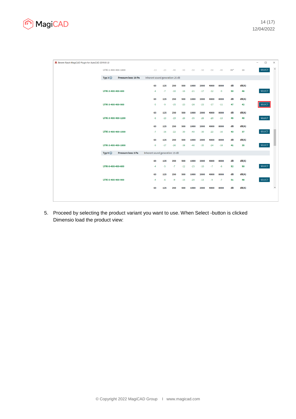

| A Bevent Rasch MagiCAD Plugin for AutoCAD 2019.9.1.0 |                     |                      |                                  |       |       |       |       |       |       |       |       |       | $\overline{\phantom{0}}$ | $\Box$        | $\times$                 |
|------------------------------------------------------|---------------------|----------------------|----------------------------------|-------|-------|-------|-------|-------|-------|-------|-------|-------|--------------------------|---------------|--------------------------|
|                                                      | LFIK-1-400-400-1800 |                      | $-13$                            | $-23$ | $-40$ | $-50$ | $-50$ | $-50$ | $-50$ | $-40$ | $35*$ | 16    |                          | <b>SELECT</b> | $\hat{\mathbf{A}}$       |
|                                                      | Typ $3Q$            | Pressure loss: 20 Pa | Inherent sound generation: 25 dB |       |       |       |       |       |       |       |       |       |                          |               |                          |
|                                                      |                     |                      | 63                               | 125   | 250   | 500   | 1000  | 2000  | 4000  | 8000  | dB    | dB(A) |                          |               |                          |
|                                                      | LFIK-3-400-400-600  |                      | $-4$                             | $-7$  | $-10$ | $-16$ | $-21$ | $-17$ | $-12$ | $-9$  | 50    | 46    |                          | <b>SELECT</b> |                          |
|                                                      |                     |                      | 63                               | 125   | 250   | 500   | 1000  | 2000  | 4000  | 8000  | dB    | dB(A) |                          |               |                          |
|                                                      | LFIK-3-400-400-900  |                      | $-5$                             | -9    | $-15$ | $-23$ | $-28$ | $-23$ | $-17$ | $-11$ | 47    | 42    |                          | <b>SELECT</b> |                          |
|                                                      |                     |                      | 63                               | 125   | 250   | 500   | 1000  | 2000  | 4000  | 8000  | dB    | dB(A) |                          |               |                          |
|                                                      | LFIK-3-400-400-1200 |                      | $-6$                             | $-13$ | $-19$ | $-26$ | $-35$ | $-26$ | $-20$ | $-13$ | 45    | 40    |                          | <b>SELECT</b> |                          |
|                                                      |                     |                      | 63                               | 125   | 250   | 500   | 1000  | 2000  | 4000  | 8000  | dB    | dB(A) |                          |               |                          |
|                                                      | LFIK-3-400-400-1500 |                      | $-7$                             | $-16$ | $-22$ | $-30$ | $-40$ | $-30$ | $-22$ | $-16$ | 43    | 37    |                          | <b>SELECT</b> |                          |
|                                                      |                     |                      | 63                               | 125   | 250   | 500   | 1000  | 2000  | 4000  | 8000  | dB    | dB(A) |                          |               |                          |
|                                                      | LFIK-3-400-400-1800 |                      | $-9$                             | $-17$ | $-26$ | $-38$ | $-46$ | $-35$ | $-24$ | $-18$ | 41    | 35    |                          | <b>SELECT</b> |                          |
|                                                      | Typ 5 $Q$           | Pressure loss: 5 Pa  | Inherent sound generation: 15 dB |       |       |       |       |       |       |       |       |       |                          |               |                          |
|                                                      |                     |                      | 63                               | 125   | 250   | 500   | 1000  | 2000  | 4000  | 8000  | dB    | dB(A) |                          |               |                          |
|                                                      | LFIK-5-400-400-600  |                      | $-4$                             | $-5$  | $-7$  | $-12$ | $-15$ | $-10$ | $-7$  | $-6$  | 52    | 50    |                          | <b>SELECT</b> |                          |
|                                                      |                     |                      | 63                               | 125   | 250   | 500   | 1000  | 2000  | 4000  | 8000  | dB    | dB(A) |                          |               |                          |
|                                                      | LFIK-5-400-400-900  |                      | $-4$                             | $-6$  | $-9$  | $-15$ | $-20$ | $-13$ | -9    | $-7$  | 51    | 48    |                          | <b>SELECT</b> |                          |
|                                                      |                     |                      | 63                               | 125   | 250   | 500   | 1000  | 2000  | 4000  | 8000  | dB    | dB(A) |                          |               | $\overline{\phantom{a}}$ |
|                                                      |                     |                      |                                  |       |       |       |       |       |       |       |       |       |                          |               |                          |
|                                                      |                     |                      |                                  |       |       |       |       |       |       |       |       |       |                          |               |                          |

5. Proceed by selecting the product variant you want to use. When Select -button is clicked Dimensio load the product view: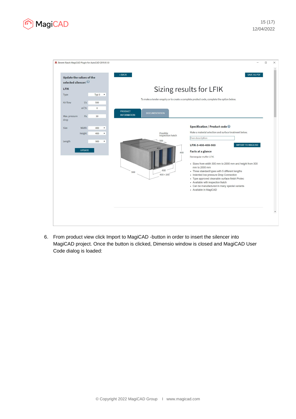



6. From product view click Import to MagiCAD -button in order to insert the silencer into MagiCAD project. Once the button is clicked, Dimensio window is closed and MagiCAD User Code dialog is loaded: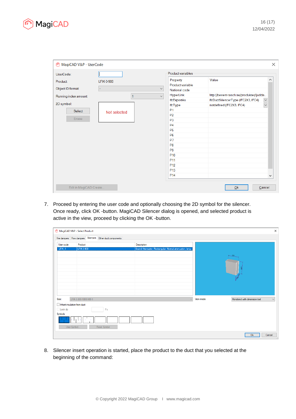

| MagiCAD V&P - UserCode<br>⋒ |              |                   |                              |                                         | $\times$         |
|-----------------------------|--------------|-------------------|------------------------------|-----------------------------------------|------------------|
| UserCode:                   |              |                   | Product variables            |                                         |                  |
| Product                     | LFIK-3-900   |                   | Property<br>Product variable | Value                                   | ́                |
| Object ID format:           |              | $\checkmark$      | National code                |                                         |                  |
|                             |              | $\bar{\vee}$<br>1 | HyperLink                    | http://bevent-rasch.se/produkter/ljudda |                  |
| Running index amount        |              |                   | <b>IfcExportAs</b>           | IfcDuctSilencerType (IFC2X3, IFC4)      | $\check{~}$      |
| 2D symbol:                  |              |                   | <b>IfcType</b>               | notdefined (IFC2X3, IFC4)               | $\smallsetminus$ |
| Select                      | Not selected |                   | P1                           |                                         |                  |
|                             |              |                   | P <sub>2</sub>               |                                         |                  |
| Erase                       |              |                   | P <sub>3</sub>               |                                         |                  |
|                             |              |                   | P <sub>4</sub>               |                                         |                  |
|                             |              |                   | <b>P5</b>                    |                                         |                  |
|                             |              |                   | <b>P6</b>                    |                                         |                  |
|                             |              |                   | P <sub>7</sub>               |                                         |                  |
|                             |              |                   | P <sub>8</sub>               |                                         |                  |
|                             |              |                   | P <sub>9</sub>               |                                         |                  |
|                             |              |                   | P <sub>10</sub>              |                                         |                  |
|                             |              |                   | P <sub>11</sub>              |                                         |                  |
|                             |              |                   | P <sub>12</sub>              |                                         |                  |
|                             |              |                   | P <sub>13</sub>              |                                         |                  |
|                             |              |                   | P <sub>14</sub>              |                                         | v                |
| Edit in MagiCAD Create      |              |                   |                              | Qk                                      | Cancel           |

7. Proceed by entering the user code and optionally choosing the 2D symbol for the silencer. Once ready, click OK -button. MagiCAD Silencer dialog is opened, and selected product is active in the view, proceed by clicking the OK -button.

|                                                                   | MagiCAD V&P - Select Product                                    |                                                          |           |                                              |
|-------------------------------------------------------------------|-----------------------------------------------------------------|----------------------------------------------------------|-----------|----------------------------------------------|
|                                                                   | Fire dampers   Flow dampers   Silencers   Other duct components |                                                          |           |                                              |
| User code                                                         | Product                                                         | Description                                              |           |                                              |
| LFIK <sub>1</sub>                                                 | LFIK-3-900                                                      | Sound Attenuator, Rectangular, Normal attenuation, leng. |           | $1 - 22$                                     |
| Size:                                                             | LFIK-3-300-1000-900-1                                           | $\sim$                                                   | View mode | Rendered with dimension text<br>$\checkmark$ |
| Inherit insulation from duct<br>Lock dp<br>Symbols<br>User Symbol | Pa<br>n I<br>$\sim$<br>Reset Symbol                             |                                                          |           |                                              |
|                                                                   |                                                                 |                                                          |           | Ok<br>Cancel                                 |

8. Silencer insert operation is started, place the product to the duct that you selected at the beginning of the command: